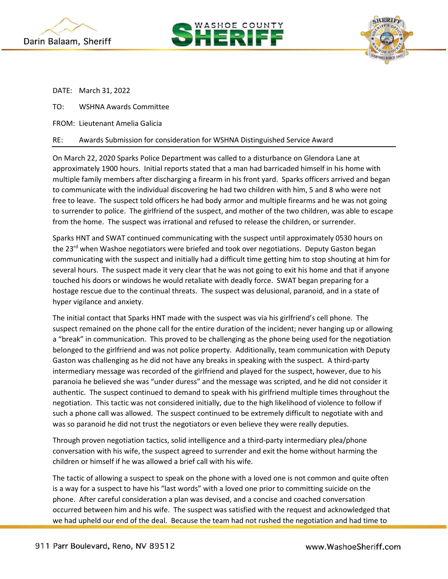





DATE: March 31, 2022

- TO: WSHNA Awards Committee
- FROM: Lieutenant Amelia Galicia

## RE: Awards Submission for consideration for WSHNA Distinguished Service Award

On March 22, 2020 Sparks Police Department was called to a disturbance on Glendora Lane at approximately 1900 hours. Initial reports stated that a man had barricaded himself in his home with multiple family members after discharging a firearm in his front yard. Sparks officers arrived and began to communicate with the individual discovering he had two children with him, 5 and 8 who were not free to leave. The suspect told officers he had body armor and multiple firearms and he was not going to surrender to police. The girlfriend of the suspect, and mother of the two children, was able to escape from the home. The suspect was irrational and refused to release the children, or surrender.

Sparks HNT and SWAT continued communicating with the suspect until approximately 0530 hours on the 23<sup>rd</sup> when Washoe negotiators were briefed and took over negotiations. Deputy Gaston began communicating with the suspect and initially had a difficult time getting him to stop shouting at him for several hours. The suspect made it very clear that he was not going to exit his home and that if anyone touched his doors or windows he would retaliate with deadly force. SWAT began preparing for a hostage rescue due to the continual threats. The suspect was delusional, paranoid, and in a state of hyper vigilance and anxiety.

The initial contact that Sparks HNT made with the suspect was via his girlfriend's cell phone. The suspect remained on the phone call for the entire duration of the incident; never hanging up or allowing a "break" in communication. This proved to be challenging as the phone being used for the negotiation belonged to the girlfriend and was not police property. Additionally, team communication with Deputy Gaston was challenging as he did not have any breaks in speaking with the suspect. A third-party intermediary message was recorded of the girlfriend and played for the suspect, however, due to his paranoia he believed she was "under duress" and the message was scripted, and he did not consider it authentic. The suspect continued to demand to speak with his girlfriend multiple times throughout the negotiation. This tactic was not considered initially, due to the high likelihood of violence to follow if such a phone call was allowed. The suspect continued to be extremely difficult to negotiate with and was so paranoid he did not trust the negotiators or even believe they were really deputies.

Through proven negotiation tactics, solid intelligence and a third-party intermediary plea/phone conversation with his wife, the suspect agreed to surrender and exit the home without harming the children or himself if he was allowed a brief call with his wife.

The tactic of allowing a suspect to speak on the phone with a loved one is not common and quite often is a way for a suspect to have his "last words" with a loved one prior to committing suicide on the phone. After careful consideration a plan was devised, and a concise and coached conversation occurred between him and his wife. The suspect was satisfied with the request and acknowledged that we had upheld our end of the deal. Because the team had not rushed the negotiation and had time to